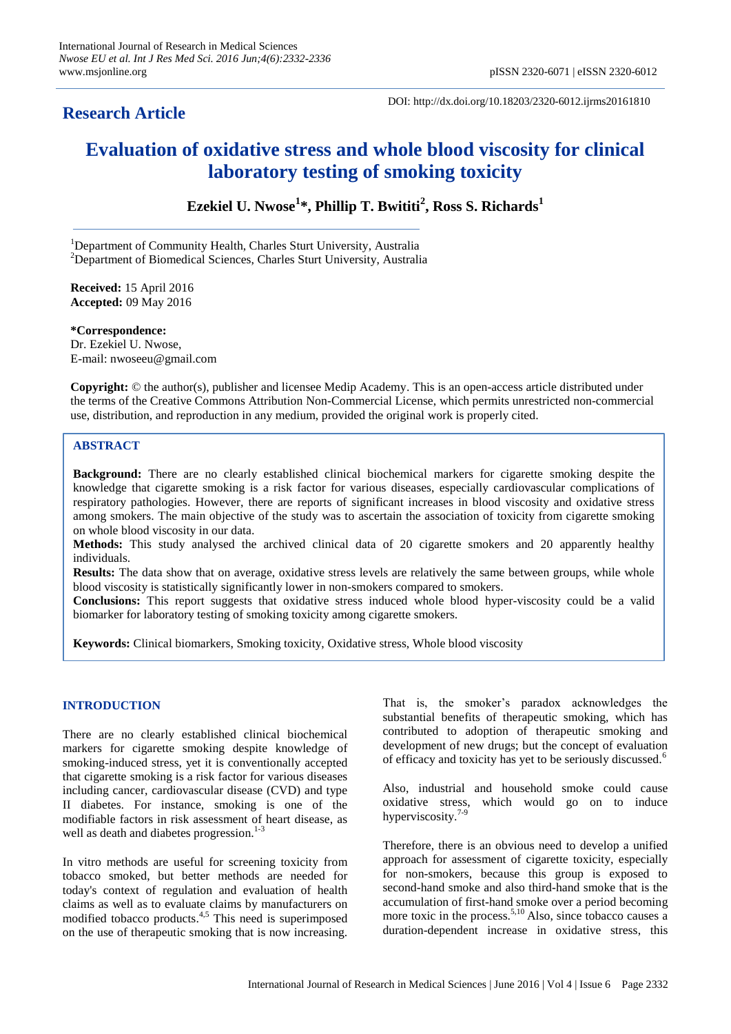# **Research Article**

DOI: http://dx.doi.org/10.18203/2320-6012.ijrms20161810

# **Evaluation of oxidative stress and whole blood viscosity for clinical laboratory testing of smoking toxicity**

**Ezekiel U. Nwose<sup>1</sup> \*, Phillip T. Bwititi<sup>2</sup> , Ross S. Richards<sup>1</sup>**

<sup>1</sup>Department of Community Health, Charles Sturt University, Australia <sup>2</sup>Department of Biomedical Sciences, Charles Sturt University, Australia

**Received:** 15 April 2016 **Accepted:** 09 May 2016

**\*Correspondence:** Dr. Ezekiel U. Nwose, E-mail: nwoseeu@gmail.com

**Copyright:** © the author(s), publisher and licensee Medip Academy. This is an open-access article distributed under the terms of the Creative Commons Attribution Non-Commercial License, which permits unrestricted non-commercial use, distribution, and reproduction in any medium, provided the original work is properly cited.

## **ABSTRACT**

**Background:** There are no clearly established clinical biochemical markers for cigarette smoking despite the knowledge that cigarette smoking is a risk factor for various diseases, especially cardiovascular complications of respiratory pathologies. However, there are reports of significant increases in blood viscosity and oxidative stress among smokers. The main objective of the study was to ascertain the association of toxicity from cigarette smoking on whole blood viscosity in our data.

**Methods:** This study analysed the archived clinical data of 20 cigarette smokers and 20 apparently healthy individuals.

**Results:** The data show that on average, oxidative stress levels are relatively the same between groups, while whole blood viscosity is statistically significantly lower in non-smokers compared to smokers.

**Conclusions:** This report suggests that oxidative stress induced whole blood hyper-viscosity could be a valid biomarker for laboratory testing of smoking toxicity among cigarette smokers.

**Keywords:** Clinical biomarkers, Smoking toxicity, Oxidative stress, Whole blood viscosity

### **INTRODUCTION**

There are no clearly established clinical biochemical markers for cigarette smoking despite knowledge of smoking-induced stress, yet it is conventionally accepted that cigarette smoking is a risk factor for various diseases including cancer, cardiovascular disease (CVD) and type II diabetes. For instance, smoking is one of the modifiable factors in risk assessment of heart disease, as well as death and diabetes progression.<sup>1-3</sup>

In vitro methods are useful for screening toxicity from tobacco smoked, but better methods are needed for today's context of regulation and evaluation of health claims as well as to evaluate claims by manufacturers on modified tobacco products. 4,5 This need is superimposed on the use of therapeutic smoking that is now increasing.

That is, the smoker's paradox acknowledges the substantial benefits of therapeutic smoking, which has contributed to adoption of therapeutic smoking and development of new drugs; but the concept of evaluation of efficacy and toxicity has yet to be seriously discussed.<sup>6</sup>

Also, industrial and household smoke could cause oxidative stress, which would go on to induce hyperviscosity.<sup>7-9</sup>

Therefore, there is an obvious need to develop a unified approach for assessment of cigarette toxicity, especially for non-smokers, because this group is exposed to second-hand smoke and also third-hand smoke that is the accumulation of first-hand smoke over a period becoming more toxic in the process.<sup>5,10</sup> Also, since tobacco causes a duration-dependent increase in oxidative stress, this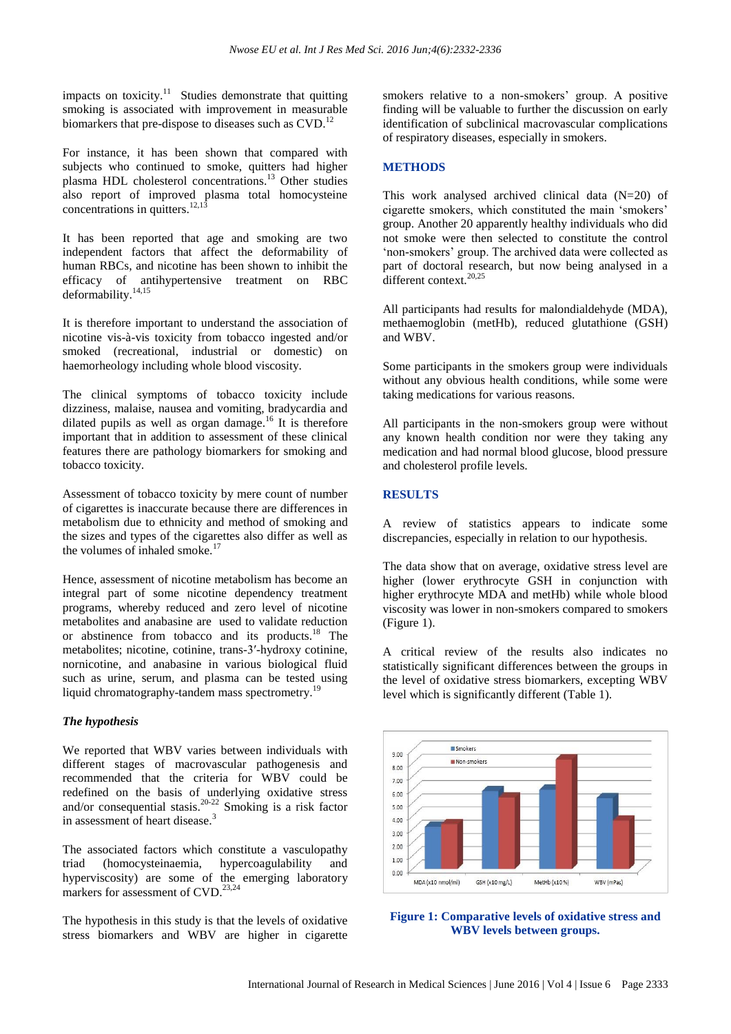impacts on toxicity.<sup>11</sup> Studies demonstrate that quitting smoking is associated with improvement in measurable biomarkers that pre-dispose to diseases such as CVD.<sup>12</sup>

For instance, it has been shown that compared with subjects who continued to smoke, quitters had higher plasma HDL cholesterol concentrations. <sup>13</sup> Other studies also report of improved plasma total homocysteine concentrations in quitters.  $12,13$ 

It has been reported that age and smoking are two independent factors that affect the deformability of human RBCs, and nicotine has been shown to inhibit the efficacy of antihypertensive treatment on RBC deformability. 14,15

It is therefore important to understand the association of nicotine vis-à-vis toxicity from tobacco ingested and/or smoked (recreational, industrial or domestic) on haemorheology including whole blood viscosity.

The clinical symptoms of tobacco toxicity include dizziness, malaise, nausea and vomiting, bradycardia and dilated pupils as well as organ damage. <sup>16</sup> It is therefore important that in addition to assessment of these clinical features there are pathology biomarkers for smoking and tobacco toxicity.

Assessment of tobacco toxicity by mere count of number of cigarettes is inaccurate because there are differences in metabolism due to ethnicity and method of smoking and the sizes and types of the cigarettes also differ as well as the volumes of inhaled smoke.<sup>17</sup>

Hence, assessment of nicotine metabolism has become an integral part of some nicotine dependency treatment programs, whereby reduced and zero level of nicotine metabolites and anabasine are used to validate reduction or abstinence from tobacco and its products. <sup>18</sup> The metabolites; nicotine, cotinine, trans-3′-hydroxy cotinine, nornicotine, and anabasine in various biological fluid such as urine, serum, and plasma can be tested using liquid chromatography-tandem mass spectrometry.<sup>19</sup>

### *The hypothesis*

We reported that WBV varies between individuals with different stages of macrovascular pathogenesis and recommended that the criteria for WBV could be redefined on the basis of underlying oxidative stress and/or consequential stasis. 20-22 Smoking is a risk factor in assessment of heart disease.<sup>3</sup>

The associated factors which constitute a vasculopathy triad (homocysteinaemia, hypercoagulability and hyperviscosity) are some of the emerging laboratory markers for assessment of CVD.<sup>23,24</sup>

The hypothesis in this study is that the levels of oxidative stress biomarkers and WBV are higher in cigarette smokers relative to a non-smokers' group. A positive finding will be valuable to further the discussion on early identification of subclinical macrovascular complications of respiratory diseases, especially in smokers.

#### **METHODS**

This work analysed archived clinical data  $(N=20)$  of cigarette smokers, which constituted the main 'smokers' group. Another 20 apparently healthy individuals who did not smoke were then selected to constitute the control 'non-smokers' group. The archived data were collected as part of doctoral research, but now being analysed in a different context.<sup>20,25</sup>

All participants had results for malondialdehyde (MDA), methaemoglobin (metHb), reduced glutathione (GSH) and WBV.

Some participants in the smokers group were individuals without any obvious health conditions, while some were taking medications for various reasons.

All participants in the non-smokers group were without any known health condition nor were they taking any medication and had normal blood glucose, blood pressure and cholesterol profile levels.

### **RESULTS**

A review of statistics appears to indicate some discrepancies, especially in relation to our hypothesis.

The data show that on average, oxidative stress level are higher (lower erythrocyte GSH in conjunction with higher erythrocyte MDA and metHb) while whole blood viscosity was lower in non-smokers compared to smokers (Figure 1).

A critical review of the results also indicates no statistically significant differences between the groups in the level of oxidative stress biomarkers, excepting WBV level which is significantly different (Table 1).



**Figure 1: Comparative levels of oxidative stress and WBV levels between groups.**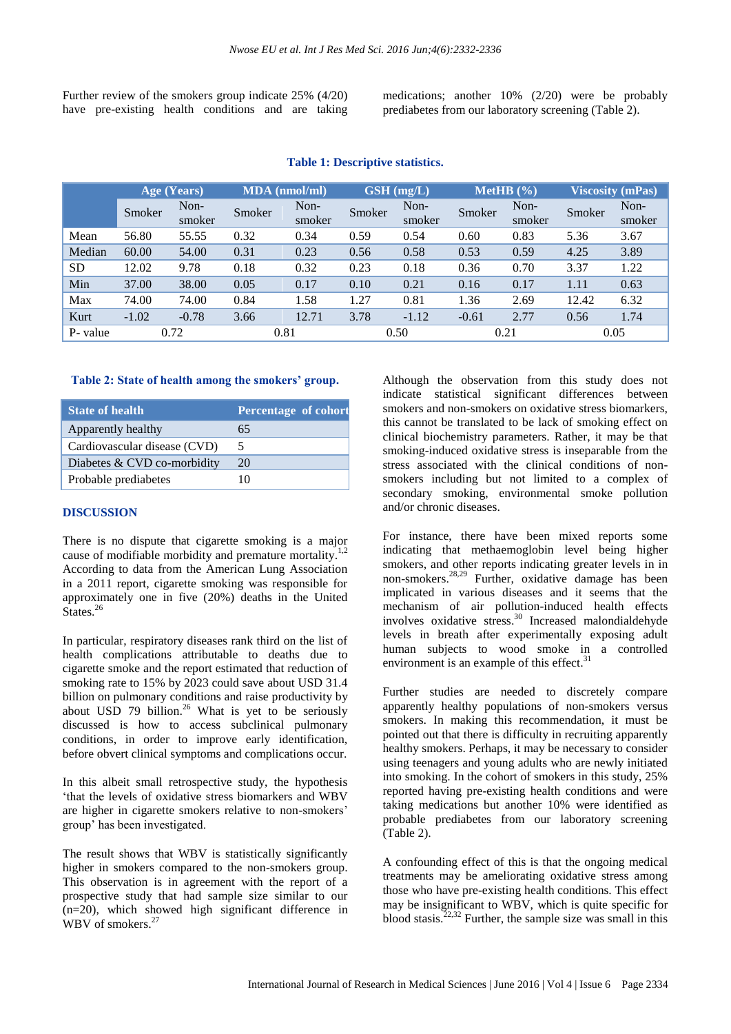Further review of the smokers group indicate 25% (4/20) have pre-existing health conditions and are taking medications; another 10% (2/20) were be probably prediabetes from our laboratory screening (Table 2).

|           | Age (Years) |                | <b>MDA</b> (nmol/ml) |                | $\overline{\textbf{GSH}}$ (mg/L) |                | MetHB $(\% )$ |                | <b>Viscosity (mPas)</b> |                |
|-----------|-------------|----------------|----------------------|----------------|----------------------------------|----------------|---------------|----------------|-------------------------|----------------|
|           | Smoker      | Non-<br>smoker | Smoker               | Non-<br>smoker | Smoker                           | Non-<br>smoker | Smoker        | Non-<br>smoker | Smoker                  | Non-<br>smoker |
| Mean      | 56.80       | 55.55          | 0.32                 | 0.34           | 0.59                             | 0.54           | 0.60          | 0.83           | 5.36                    | 3.67           |
| Median    | 60.00       | 54.00          | 0.31                 | 0.23           | 0.56                             | 0.58           | 0.53          | 0.59           | 4.25                    | 3.89           |
| <b>SD</b> | 12.02       | 9.78           | 0.18                 | 0.32           | 0.23                             | 0.18           | 0.36          | 0.70           | 3.37                    | 1.22           |
| Min       | 37.00       | 38.00          | 0.05                 | 0.17           | 0.10                             | 0.21           | 0.16          | 0.17           | 1.11                    | 0.63           |
| Max       | 74.00       | 74.00          | 0.84                 | 1.58           | 1.27                             | 0.81           | 1.36          | 2.69           | 12.42                   | 6.32           |
| Kurt      | $-1.02$     | $-0.78$        | 3.66                 | 12.71          | 3.78                             | $-1.12$        | $-0.61$       | 2.77           | 0.56                    | 1.74           |
| P- value  | 0.72        |                | 0.81                 |                | 0.50                             |                | 0.21          |                | 0.05                    |                |

#### **Table 1: Descriptive statistics.**

#### **Table 2: State of health among the smokers' group.**

| <b>State of health</b>       | <b>Percentage of cohort</b> |
|------------------------------|-----------------------------|
| Apparently healthy           | 65                          |
| Cardiovascular disease (CVD) | $\mathcal{L}$               |
| Diabetes & CVD co-morbidity  | 20                          |
| Probable prediabetes         |                             |

#### **DISCUSSION**

There is no dispute that cigarette smoking is a major cause of modifiable morbidity and premature mortality.<sup>1,2</sup> According to data from the American Lung Association in a 2011 report, cigarette smoking was responsible for approximately one in five (20%) deaths in the United States.<sup>26</sup>

In particular, respiratory diseases rank third on the list of health complications attributable to deaths due to cigarette smoke and the report estimated that reduction of smoking rate to 15% by 2023 could save about USD 31.4 billion on pulmonary conditions and raise productivity by about USD 79 billion.<sup>26</sup> What is yet to be seriously discussed is how to access subclinical pulmonary conditions, in order to improve early identification, before obvert clinical symptoms and complications occur.

In this albeit small retrospective study, the hypothesis 'that the levels of oxidative stress biomarkers and WBV are higher in cigarette smokers relative to non-smokers' group' has been investigated.

The result shows that WBV is statistically significantly higher in smokers compared to the non-smokers group. This observation is in agreement with the report of a prospective study that had sample size similar to our (n=20), which showed high significant difference in WBV of smokers.<sup>27</sup>

Although the observation from this study does not indicate statistical significant differences between smokers and non-smokers on oxidative stress biomarkers, this cannot be translated to be lack of smoking effect on clinical biochemistry parameters. Rather, it may be that smoking-induced oxidative stress is inseparable from the stress associated with the clinical conditions of nonsmokers including but not limited to a complex of secondary smoking, environmental smoke pollution and/or chronic diseases.

For instance, there have been mixed reports some indicating that methaemoglobin level being higher smokers, and other reports indicating greater levels in in non-smokers. 28,29 Further, oxidative damage has been implicated in various diseases and it seems that the mechanism of air pollution-induced health effects involves oxidative stress. <sup>30</sup> Increased malondialdehyde levels in breath after experimentally exposing adult human subjects to wood smoke in a controlled environment is an example of this effect.<sup>31</sup>

Further studies are needed to discretely compare apparently healthy populations of non-smokers versus smokers. In making this recommendation, it must be pointed out that there is difficulty in recruiting apparently healthy smokers. Perhaps, it may be necessary to consider using teenagers and young adults who are newly initiated into smoking. In the cohort of smokers in this study, 25% reported having pre-existing health conditions and were taking medications but another 10% were identified as probable prediabetes from our laboratory screening (Table 2).

A confounding effect of this is that the ongoing medical treatments may be ameliorating oxidative stress among those who have pre-existing health conditions. This effect may be insignificant to WBV, which is quite specific for blood stasis.<sup>22,32</sup> Further, the sample size was small in this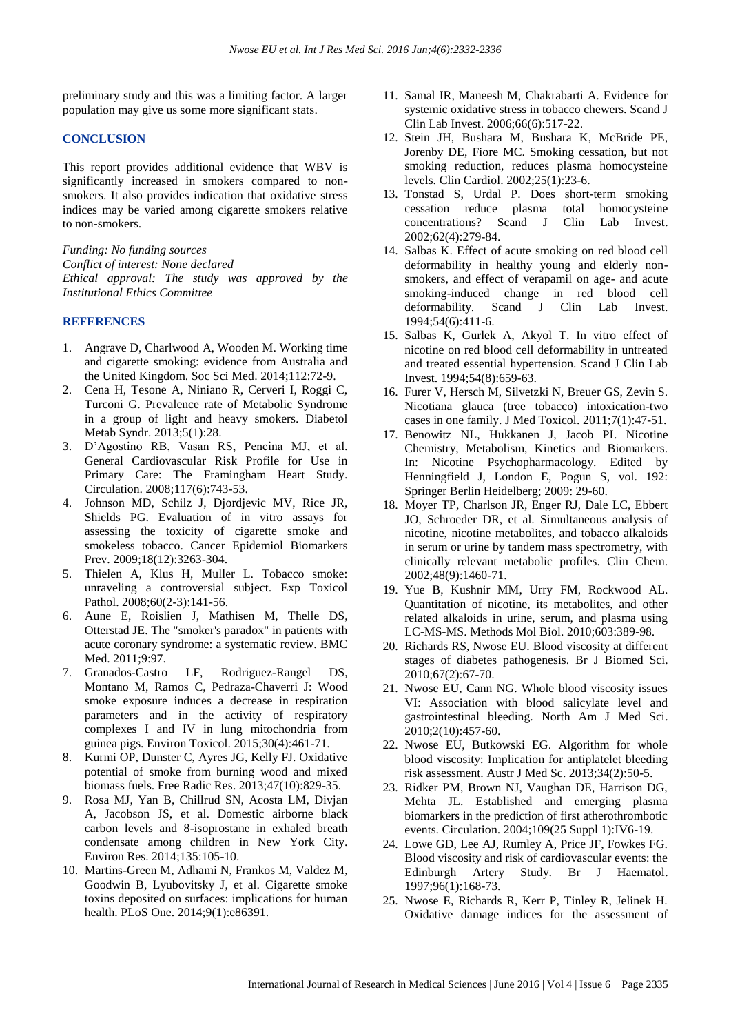preliminary study and this was a limiting factor. A larger population may give us some more significant stats.

#### **CONCLUSION**

This report provides additional evidence that WBV is significantly increased in smokers compared to nonsmokers. It also provides indication that oxidative stress indices may be varied among cigarette smokers relative to non-smokers.

*Funding: No funding sources Conflict of interest: None declared Ethical approval: The study was approved by the Institutional Ethics Committee*

#### **REFERENCES**

- 1. Angrave D, Charlwood A, Wooden M. Working time and cigarette smoking: evidence from Australia and the United Kingdom. Soc Sci Med. 2014;112:72-9.
- 2. Cena H, Tesone A, Niniano R, Cerveri I, Roggi C, Turconi G. Prevalence rate of Metabolic Syndrome in a group of light and heavy smokers. Diabetol Metab Syndr. 2013;5(1):28.
- 3. D'Agostino RB, Vasan RS, Pencina MJ, et al. General Cardiovascular Risk Profile for Use in Primary Care: The Framingham Heart Study. Circulation. 2008;117(6):743-53.
- 4. Johnson MD, Schilz J, Djordjevic MV, Rice JR, Shields PG. Evaluation of in vitro assays for assessing the toxicity of cigarette smoke and smokeless tobacco. Cancer Epidemiol Biomarkers Prev. 2009:18(12):3263-304.
- 5. Thielen A, Klus H, Muller L. Tobacco smoke: unraveling a controversial subject. Exp Toxicol Pathol. 2008:60(2-3):141-56.
- 6. Aune E, Roislien J, Mathisen M, Thelle DS, Otterstad JE. The "smoker's paradox" in patients with acute coronary syndrome: a systematic review. BMC Med. 2011;9:97.
- 7. Granados-Castro LF, Rodriguez-Rangel DS, Montano M, Ramos C, Pedraza-Chaverri J: Wood smoke exposure induces a decrease in respiration parameters and in the activity of respiratory complexes I and IV in lung mitochondria from guinea pigs. Environ Toxicol. 2015;30(4):461-71.
- 8. Kurmi OP, Dunster C, Ayres JG, Kelly FJ. Oxidative potential of smoke from burning wood and mixed biomass fuels. Free Radic Res. 2013;47(10):829-35.
- 9. Rosa MJ, Yan B, Chillrud SN, Acosta LM, Divjan A, Jacobson JS, et al. Domestic airborne black carbon levels and 8-isoprostane in exhaled breath condensate among children in New York City. Environ Res. 2014;135:105-10.
- 10. Martins-Green M, Adhami N, Frankos M, Valdez M, Goodwin B, Lyubovitsky J, et al. Cigarette smoke toxins deposited on surfaces: implications for human health. PLoS One. 2014;9(1):e86391.
- 11. Samal IR, Maneesh M, Chakrabarti A. Evidence for systemic oxidative stress in tobacco chewers. Scand J Clin Lab Invest. 2006;66(6):517-22.
- 12. Stein JH, Bushara M, Bushara K, McBride PE, Jorenby DE, Fiore MC. Smoking cessation, but not smoking reduction, reduces plasma homocysteine levels. Clin Cardiol. 2002;25(1):23-6.
- 13. Tonstad S, Urdal P. Does short-term smoking cessation reduce plasma total homocysteine concentrations? Scand J Clin Lab Invest. 2002;62(4):279-84.
- 14. Salbas K. Effect of acute smoking on red blood cell deformability in healthy young and elderly nonsmokers, and effect of verapamil on age- and acute smoking-induced change in red blood cell deformability. Scand J Clin Lab Invest. 1994;54(6):411-6.
- 15. Salbas K, Gurlek A, Akyol T. In vitro effect of nicotine on red blood cell deformability in untreated and treated essential hypertension. Scand J Clin Lab Invest. 1994;54(8):659-63.
- 16. Furer V, Hersch M, Silvetzki N, Breuer GS, Zevin S. Nicotiana glauca (tree tobacco) intoxication-two cases in one family. J Med Toxicol. 2011;7(1):47-51.
- 17. Benowitz NL, Hukkanen J, Jacob PI. Nicotine Chemistry, Metabolism, Kinetics and Biomarkers. In: Nicotine Psychopharmacology. Edited by Henningfield J, London E, Pogun S, vol. 192: Springer Berlin Heidelberg; 2009: 29-60.
- 18. Moyer TP, Charlson JR, Enger RJ, Dale LC, Ebbert JO, Schroeder DR, et al. Simultaneous analysis of nicotine, nicotine metabolites, and tobacco alkaloids in serum or urine by tandem mass spectrometry, with clinically relevant metabolic profiles. Clin Chem. 2002;48(9):1460-71.
- 19. Yue B, Kushnir MM, Urry FM, Rockwood AL. Quantitation of nicotine, its metabolites, and other related alkaloids in urine, serum, and plasma using LC-MS-MS. Methods Mol Biol. 2010;603:389-98.
- 20. Richards RS, Nwose EU. Blood viscosity at different stages of diabetes pathogenesis. Br J Biomed Sci. 2010;67(2):67-70.
- 21. Nwose EU, Cann NG. Whole blood viscosity issues VI: Association with blood salicylate level and gastrointestinal bleeding. North Am J Med Sci. 2010;2(10):457-60.
- 22. Nwose EU, Butkowski EG. Algorithm for whole blood viscosity: Implication for antiplatelet bleeding risk assessment. Austr J Med Sc. 2013;34(2):50-5.
- 23. Ridker PM, Brown NJ, Vaughan DE, Harrison DG, Mehta JL. Established and emerging plasma biomarkers in the prediction of first atherothrombotic events. Circulation. 2004;109(25 Suppl 1):IV6-19.
- 24. Lowe GD, Lee AJ, Rumley A, Price JF, Fowkes FG. Blood viscosity and risk of cardiovascular events: the Edinburgh Artery Study. Br J Haematol. 1997;96(1):168-73.
- 25. Nwose E, Richards R, Kerr P, Tinley R, Jelinek H. Oxidative damage indices for the assessment of